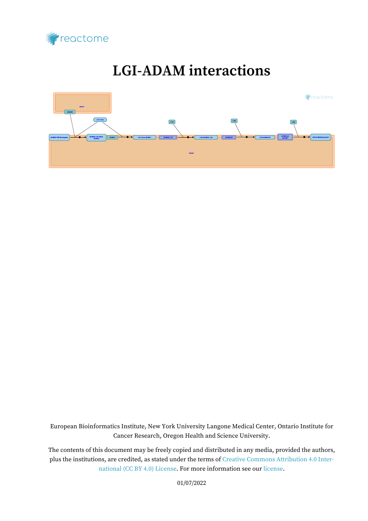

# **LGI-ADAM interactions**



European Bioinformatics Institute, New York University Langone Medical Center, Ontario Institute for Cancer Research, Oregon Health and Science University.

The contents of this document may be freely copied and distributed in any media, provided the authors, plus the institutions, are credited, as stated under the terms of [Creative Commons Attribution 4.0 Inter](https://creativecommons.org/licenses/by/4.0/)[national \(CC BY 4.0\) License](https://creativecommons.org/licenses/by/4.0/). For more information see our [license](https://reactome.org/license).

01/07/2022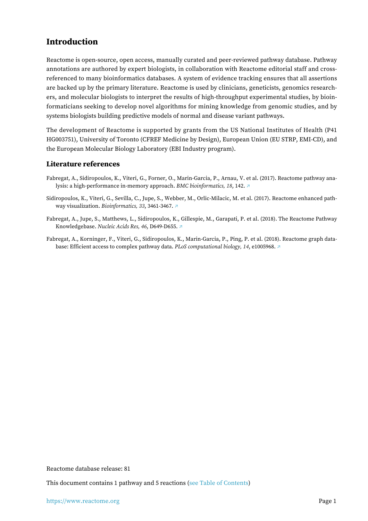## <span id="page-1-0"></span>**Introduction**

Reactome is open-source, open access, manually curated and peer-reviewed pathway database. Pathway annotations are authored by expert biologists, in collaboration with Reactome editorial staff and crossreferenced to many bioinformatics databases. A system of evidence tracking ensures that all assertions are backed up by the primary literature. Reactome is used by clinicians, geneticists, genomics researchers, and molecular biologists to interpret the results of high-throughput experimental studies, by bioinformaticians seeking to develop novel algorithms for mining knowledge from genomic studies, and by systems biologists building predictive models of normal and disease variant pathways.

The development of Reactome is supported by grants from the US National Institutes of Health (P41 HG003751), University of Toronto (CFREF Medicine by Design), European Union (EU STRP, EMI-CD), and the European Molecular Biology Laboratory (EBI Industry program).

#### **Literature references**

- Fabregat, A., Sidiropoulos, K., Viteri, G., Forner, O., Marin-Garcia, P., Arnau, V. et al. (2017). Reactome pathway analysis: a high-performance in-memory approach. *BMC bioinformatics, 18*, 142. [↗](http://www.ncbi.nlm.nih.gov/pubmed/28249561)
- Sidiropoulos, K., Viteri, G., Sevilla, C., Jupe, S., Webber, M., Orlic-Milacic, M. et al. (2017). Reactome enhanced pathway visualization. *Bioinformatics, 33*, 3461-3467. [↗](http://www.ncbi.nlm.nih.gov/pubmed/29077811)
- Fabregat, A., Jupe, S., Matthews, L., Sidiropoulos, K., Gillespie, M., Garapati, P. et al. (2018). The Reactome Pathway Knowledgebase. *Nucleic Acids Res, 46*, D649-D655. [↗](http://www.ncbi.nlm.nih.gov/pubmed/29145629)
- Fabregat, A., Korninger, F., Viteri, G., Sidiropoulos, K., Marin-Garcia, P., Ping, P. et al. (2018). Reactome graph database: Efficient access to complex pathway data. *PLoS computational biology, 14*, e1005968. [↗](http://www.ncbi.nlm.nih.gov/pubmed/29377902)

Reactome database release: 81

This document contains 1 pathway and 5 reactions [\(see Table of Contents\)](#page-8-0)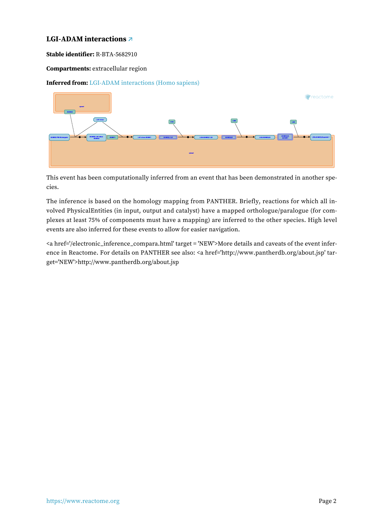#### <span id="page-2-0"></span>**LGI-ADAM interactions [↗](https://www.reactome.org/content/detail/R-BTA-5682910)**

**Stable identifier:** R-BTA-5682910

#### **Compartments:** extracellular region

#### **Inferred from:** [LGI-ADAM interactions \(Homo sapiens\)](https://www.reactome.org/content/detail/R-HSA-5682910)



This event has been computationally inferred from an event that has been demonstrated in another species.

The inference is based on the homology mapping from PANTHER. Briefly, reactions for which all involved PhysicalEntities (in input, output and catalyst) have a mapped orthologue/paralogue (for complexes at least 75% of components must have a mapping) are inferred to the other species. High level events are also inferred for these events to allow for easier navigation.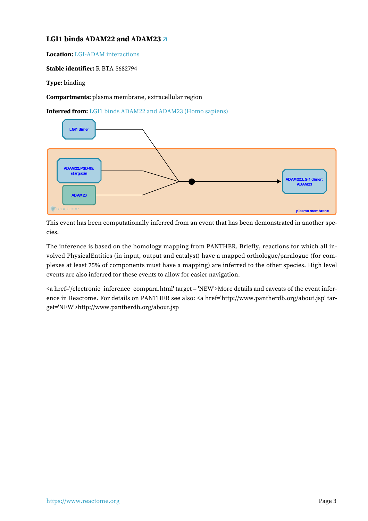### <span id="page-3-0"></span>**LGI1 binds ADAM22 and ADAM23 [↗](https://www.reactome.org/content/detail/R-BTA-5682794)**

**Location:** [LGI-ADAM interactions](#page-2-0)

**Stable identifier:** R-BTA-5682794

**Type:** binding

**Compartments:** plasma membrane, extracellular region

**Inferred from:** [LGI1 binds ADAM22 and ADAM23 \(Homo sapiens\)](https://www.reactome.org/content/detail/R-HSA-5682794)



This event has been computationally inferred from an event that has been demonstrated in another species.

The inference is based on the homology mapping from PANTHER. Briefly, reactions for which all involved PhysicalEntities (in input, output and catalyst) have a mapped orthologue/paralogue (for complexes at least 75% of components must have a mapping) are inferred to the other species. High level events are also inferred for these events to allow for easier navigation.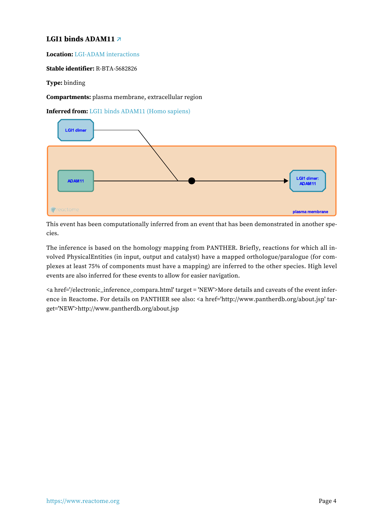#### <span id="page-4-0"></span>**LGI1 binds ADAM11 [↗](https://www.reactome.org/content/detail/R-BTA-5682826)**

**Location:** [LGI-ADAM interactions](#page-2-0)

**Stable identifier:** R-BTA-5682826

**Type:** binding

**Compartments:** plasma membrane, extracellular region

**Inferred from:** [LGI1 binds ADAM11 \(Homo sapiens\)](https://www.reactome.org/content/detail/R-HSA-5682826)



This event has been computationally inferred from an event that has been demonstrated in another species.

The inference is based on the homology mapping from PANTHER. Briefly, reactions for which all involved PhysicalEntities (in input, output and catalyst) have a mapped orthologue/paralogue (for complexes at least 75% of components must have a mapping) are inferred to the other species. High level events are also inferred for these events to allow for easier navigation.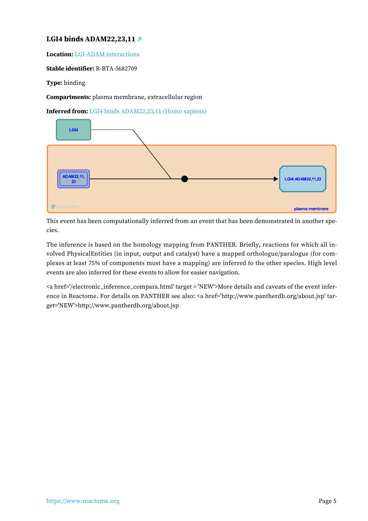#### <span id="page-5-0"></span>**LGI4 binds ADAM22,23,11 [↗](https://www.reactome.org/content/detail/R-BTA-5682709)**

**Location:** [LGI-ADAM interactions](#page-2-0)

**Stable identifier:** R-BTA-5682709

**Type:** binding

**Compartments:** plasma membrane, extracellular region

**Inferred from:** [LGI4 binds ADAM22,23,11 \(Homo sapiens\)](https://www.reactome.org/content/detail/R-HSA-5682709)



This event has been computationally inferred from an event that has been demonstrated in another species.

The inference is based on the homology mapping from PANTHER. Briefly, reactions for which all involved PhysicalEntities (in input, output and catalyst) have a mapped orthologue/paralogue (for complexes at least 75% of components must have a mapping) are inferred to the other species. High level events are also inferred for these events to allow for easier navigation.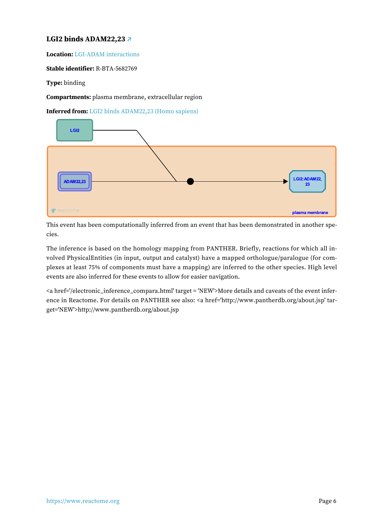#### <span id="page-6-0"></span>**LGI2 binds ADAM22,23 [↗](https://www.reactome.org/content/detail/R-BTA-5682769)**

**Location:** [LGI-ADAM interactions](#page-2-0)

**Stable identifier:** R-BTA-5682769

**Type:** binding

**Compartments:** plasma membrane, extracellular region

**Inferred from:** [LGI2 binds ADAM22,23 \(Homo sapiens\)](https://www.reactome.org/content/detail/R-HSA-5682769)



This event has been computationally inferred from an event that has been demonstrated in another species.

The inference is based on the homology mapping from PANTHER. Briefly, reactions for which all involved PhysicalEntities (in input, output and catalyst) have a mapped orthologue/paralogue (for complexes at least 75% of components must have a mapping) are inferred to the other species. High level events are also inferred for these events to allow for easier navigation.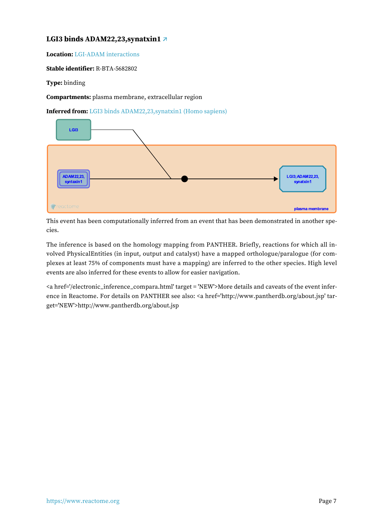### <span id="page-7-0"></span>**LGI3 binds ADAM22,23,synatxin1 [↗](https://www.reactome.org/content/detail/R-BTA-5682802)**

**Location:** [LGI-ADAM interactions](#page-2-0)

**Stable identifier:** R-BTA-5682802

**Type:** binding

**Compartments:** plasma membrane, extracellular region

**Inferred from:** [LGI3 binds ADAM22,23,synatxin1 \(Homo sapiens\)](https://www.reactome.org/content/detail/R-HSA-5682802)



This event has been computationally inferred from an event that has been demonstrated in another species.

The inference is based on the homology mapping from PANTHER. Briefly, reactions for which all involved PhysicalEntities (in input, output and catalyst) have a mapped orthologue/paralogue (for complexes at least 75% of components must have a mapping) are inferred to the other species. High level events are also inferred for these events to allow for easier navigation.